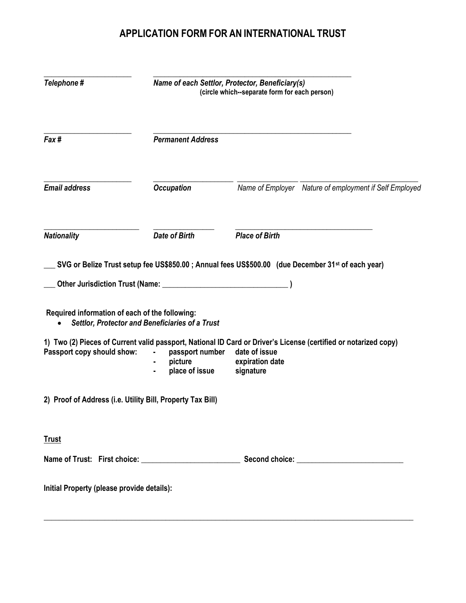## APPLICATION FORM FOR AN INTERNATIONAL TRUST

| Telephone#                                                                                                                                                                                                | Name of each Settlor, Protector, Beneficiary(s)<br>(circle which--separate form for each person) |                                               |                                                                                                                 |
|-----------------------------------------------------------------------------------------------------------------------------------------------------------------------------------------------------------|--------------------------------------------------------------------------------------------------|-----------------------------------------------|-----------------------------------------------------------------------------------------------------------------|
| Fax#                                                                                                                                                                                                      | <b>Permanent Address</b>                                                                         |                                               |                                                                                                                 |
| <b>Email address</b>                                                                                                                                                                                      | <b>Occupation</b>                                                                                |                                               | Name of Employer Nature of employment if Self Employed                                                          |
| <b>Nationality</b>                                                                                                                                                                                        | <b>Date of Birth</b>                                                                             | <b>Place of Birth</b>                         |                                                                                                                 |
| SVG or Belize Trust setup fee US\$850.00 ; Annual fees US\$500.00 (due December 31 <sup>st</sup> of each year)<br>Other Jurisdiction Trust (Name: 2008)<br>Required information of each of the following: | <b>Settlor, Protector and Beneficiaries of a Trust</b>                                           |                                               |                                                                                                                 |
| Passport copy should show:                                                                                                                                                                                | passport number<br>$\blacksquare$<br>picture<br>place of issue                                   | date of issue<br>expiration date<br>signature | 1) Two (2) Pieces of Current valid passport, National ID Card or Driver's License (certified or notarized copy) |
| 2) Proof of Address (i.e. Utility Bill, Property Tax Bill)                                                                                                                                                |                                                                                                  |                                               |                                                                                                                 |
| <b>Trust</b>                                                                                                                                                                                              |                                                                                                  |                                               |                                                                                                                 |
|                                                                                                                                                                                                           |                                                                                                  |                                               |                                                                                                                 |
| Initial Property (please provide details):                                                                                                                                                                |                                                                                                  |                                               |                                                                                                                 |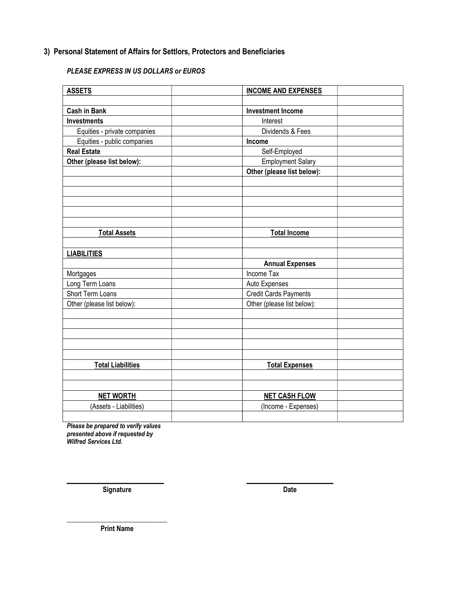## 3) Personal Statement of Affairs for Settlors, Protectors and Beneficiaries

## PLEASE EXPRESS IN US DOLLARS or EUROS

| <b>ASSETS</b>                | <b>INCOME AND EXPENSES</b> |                              |  |
|------------------------------|----------------------------|------------------------------|--|
|                              |                            |                              |  |
| <b>Cash in Bank</b>          | <b>Investment Income</b>   |                              |  |
| <b>Investments</b>           | Interest                   |                              |  |
| Equities - private companies | Dividends & Fees           |                              |  |
| Equities - public companies  | Income                     |                              |  |
| <b>Real Estate</b>           | Self-Employed              |                              |  |
| Other (please list below):   | <b>Employment Salary</b>   |                              |  |
|                              | Other (please list below): |                              |  |
|                              |                            |                              |  |
|                              |                            |                              |  |
|                              |                            |                              |  |
|                              |                            |                              |  |
|                              |                            |                              |  |
| <b>Total Assets</b>          | <b>Total Income</b>        |                              |  |
|                              |                            |                              |  |
| <b>LIABILITIES</b>           |                            |                              |  |
|                              | <b>Annual Expenses</b>     |                              |  |
| Mortgages                    | Income Tax                 |                              |  |
| Long Term Loans              |                            | Auto Expenses                |  |
| Short Term Loans             |                            | <b>Credit Cards Payments</b> |  |
| Other (please list below):   | Other (please list below): |                              |  |
|                              |                            |                              |  |
|                              |                            |                              |  |
|                              |                            |                              |  |
|                              |                            |                              |  |
|                              |                            |                              |  |
| <b>Total Liabilities</b>     | <b>Total Expenses</b>      |                              |  |
|                              |                            |                              |  |
|                              |                            |                              |  |
| <b>NET WORTH</b>             |                            | <b>NET CASH FLOW</b>         |  |
| (Assets - Liabilities)       | (Income - Expenses)        |                              |  |
|                              |                            |                              |  |

 $\overline{\phantom{a}}$  , and the contract of the contract of the contract of the contract of the contract of the contract of the contract of the contract of the contract of the contract of the contract of the contract of the contrac

Please be prepared to verify values presented above if requested by Wilfred Services Ltd.

Signature Date

\_\_\_\_\_\_\_\_\_\_\_\_\_\_\_\_\_\_\_\_\_\_\_\_\_\_\_\_\_ Print Name